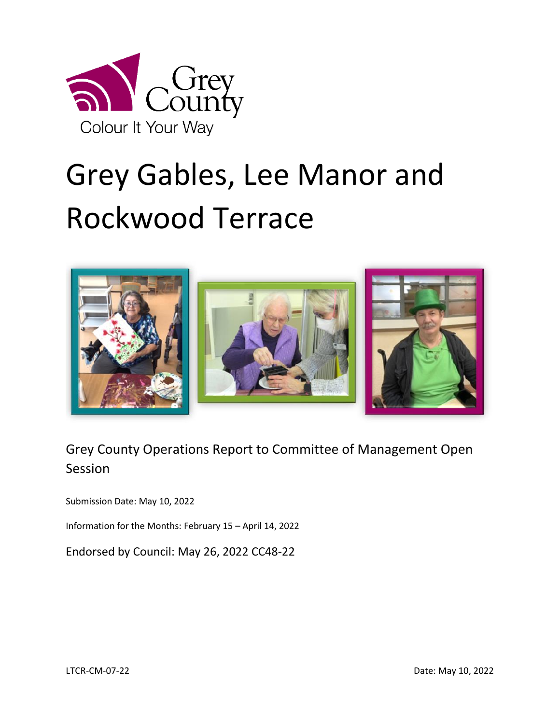

# Grey Gables, Lee Manor and Rockwood Terrace



# Grey County Operations Report to Committee of Management Open Session

Submission Date: May 10, 2022

Information for the Months: February 15 – April 14, 2022

Endorsed by Council: May 26, 2022 CC48-22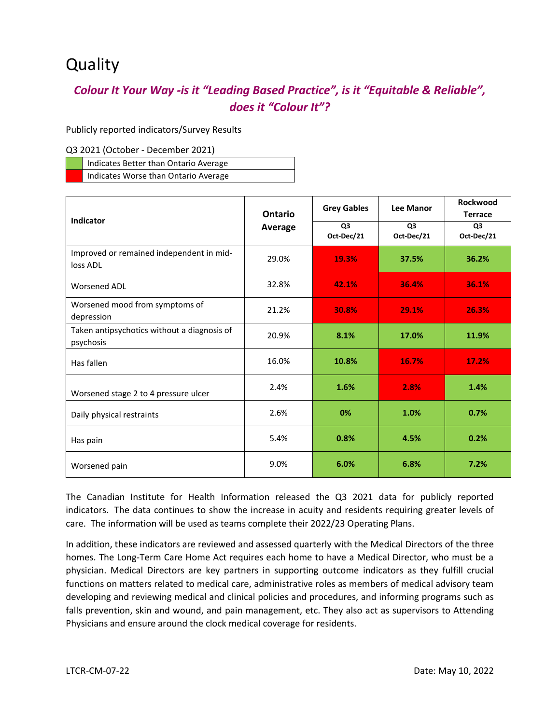# **Quality**

#### *Colour It Your Way -is it "Leading Based Practice", is it "Equitable & Reliable", does it "Colour It"?*

Publicly reported indicators/Survey Results

#### Q3 2021 (October - December 2021)

| Indicates Better than Ontario Average |  |
|---------------------------------------|--|
| Indicates Worse than Ontario Average  |  |

|                                                          | Ontario | <b>Grey Gables</b>           | <b>Lee Manor</b>             | <b>Rockwood</b><br><b>Terrace</b> |
|----------------------------------------------------------|---------|------------------------------|------------------------------|-----------------------------------|
| <b>Indicator</b><br>Average                              |         | Q <sub>3</sub><br>Oct-Dec/21 | Q <sub>3</sub><br>Oct-Dec/21 | Q <sub>3</sub><br>Oct-Dec/21      |
| Improved or remained independent in mid-<br>loss ADL     | 29.0%   | 19.3%                        | 37.5%                        | 36.2%                             |
| <b>Worsened ADL</b>                                      | 32.8%   | 42.1%                        | 36.4%                        | 36.1%                             |
| Worsened mood from symptoms of<br>depression             | 21.2%   | 30.8%                        | 29.1%                        | 26.3%                             |
| Taken antipsychotics without a diagnosis of<br>psychosis | 20.9%   | 8.1%                         | 17.0%                        | 11.9%                             |
| Has fallen                                               | 16.0%   | 10.8%                        | 16.7%                        | 17.2%                             |
| Worsened stage 2 to 4 pressure ulcer                     | 2.4%    | 1.6%                         | 2.8%                         | 1.4%                              |
| Daily physical restraints                                | 2.6%    | 0%                           | 1.0%                         | 0.7%                              |
| Has pain                                                 | 5.4%    | 0.8%                         | 4.5%                         | 0.2%                              |
| Worsened pain                                            | 9.0%    | 6.0%                         | 6.8%                         | 7.2%                              |

The Canadian Institute for Health Information released the Q3 2021 data for publicly reported indicators. The data continues to show the increase in acuity and residents requiring greater levels of care. The information will be used as teams complete their 2022/23 Operating Plans.

In addition, these indicators are reviewed and assessed quarterly with the Medical Directors of the three homes. The Long-Term Care Home Act requires each home to have a Medical Director, who must be a physician. Medical Directors are key partners in supporting outcome indicators as they fulfill crucial functions on matters related to medical care, administrative roles as members of medical advisory team developing and reviewing medical and clinical policies and procedures, and informing programs such as falls prevention, skin and wound, and pain management, etc. They also act as supervisors to Attending Physicians and ensure around the clock medical coverage for residents.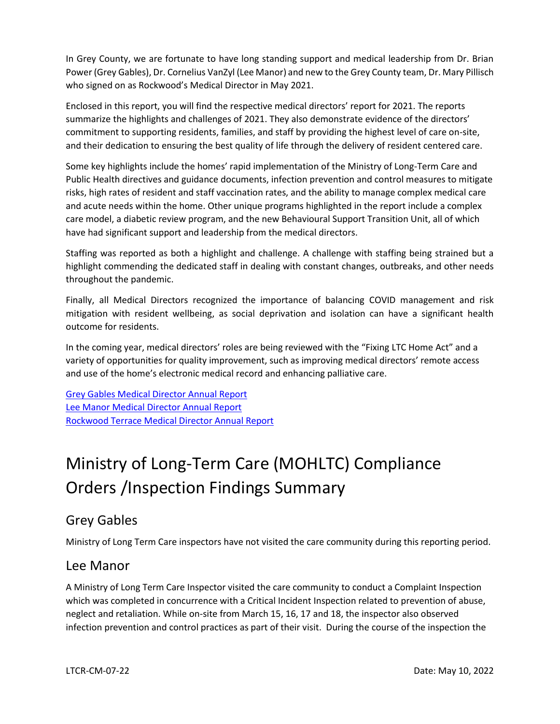In Grey County, we are fortunate to have long standing support and medical leadership from Dr. Brian Power (Grey Gables), Dr. Cornelius VanZyl (Lee Manor) and new to the Grey County team, Dr. Mary Pillisch who signed on as Rockwood's Medical Director in May 2021.

Enclosed in this report, you will find the respective medical directors' report for 2021. The reports summarize the highlights and challenges of 2021. They also demonstrate evidence of the directors' commitment to supporting residents, families, and staff by providing the highest level of care on-site, and their dedication to ensuring the best quality of life through the delivery of resident centered care.

Some key highlights include the homes' rapid implementation of the Ministry of Long-Term Care and Public Health directives and guidance documents, infection prevention and control measures to mitigate risks, high rates of resident and staff vaccination rates, and the ability to manage complex medical care and acute needs within the home. Other unique programs highlighted in the report include a complex care model, a diabetic review program, and the new Behavioural Support Transition Unit, all of which have had significant support and leadership from the medical directors.

Staffing was reported as both a highlight and challenge. A challenge with staffing being strained but a highlight commending the dedicated staff in dealing with constant changes, outbreaks, and other needs throughout the pandemic.

Finally, all Medical Directors recognized the importance of balancing COVID management and risk mitigation with resident wellbeing, as social deprivation and isolation can have a significant health outcome for residents.

In the coming year, medical directors' roles are being reviewed with the "Fixing LTC Home Act" and a variety of opportunities for quality improvement, such as improving medical directors' remote access and use of the home's electronic medical record and enhancing palliative care.

[Grey Gables Medical Director Annual Report](https://docs.grey.ca/share/public?nodeRef=workspace://SpacesStore/d53578d3-704a-4066-81a0-782d96dc8916) [Lee Manor Medical Director Annual Report](https://docs.grey.ca/share/public?nodeRef=workspace://SpacesStore/7fa7c522-c832-4bb6-8f7c-d74c27c3f0a9) [Rockwood Terrace Medical Director Annual Report](https://docs.grey.ca/share/public?nodeRef=workspace://SpacesStore/852717f1-52fa-4ac6-a00a-2c9293d456dc)

# Ministry of Long-Term Care (MOHLTC) Compliance Orders /Inspection Findings Summary

#### Grey Gables

Ministry of Long Term Care inspectors have not visited the care community during this reporting period.

#### Lee Manor

A Ministry of Long Term Care Inspector visited the care community to conduct a Complaint Inspection which was completed in concurrence with a Critical Incident Inspection related to prevention of abuse, neglect and retaliation. While on-site from March 15, 16, 17 and 18, the inspector also observed infection prevention and control practices as part of their visit. During the course of the inspection the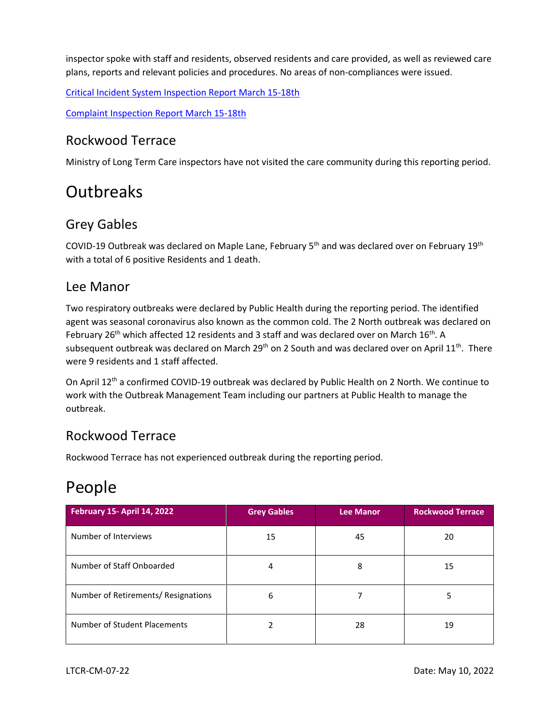inspector spoke with staff and residents, observed residents and care provided, as well as reviewed care plans, reports and relevant policies and procedures. No areas of non-compliances were issued.

[Critical Incident System Inspection Report March 15-18th](http://publicreporting.ltchomes.net/en-ca/File.aspx?RecID=29416&FacilityID=20286) 

[Complaint Inspection Report March 15-18th](http://publicreporting.ltchomes.net/en-ca/File.aspx?RecID=29417&FacilityID=20286)

#### Rockwood Terrace

Ministry of Long Term Care inspectors have not visited the care community during this reporting period.

# **Outbreaks**

#### Grey Gables

COVID-19 Outbreak was declared on Maple Lane, February 5<sup>th</sup> and was declared over on February 19<sup>th</sup> with a total of 6 positive Residents and 1 death.

#### Lee Manor

Two respiratory outbreaks were declared by Public Health during the reporting period. The identified agent was seasonal coronavirus also known as the common cold. The 2 North outbreak was declared on February 26<sup>th</sup> which affected 12 residents and 3 staff and was declared over on March 16<sup>th</sup>. A subsequent outbreak was declared on March 29<sup>th</sup> on 2 South and was declared over on April 11<sup>th</sup>. There were 9 residents and 1 staff affected.

On April 12<sup>th</sup> a confirmed COVID-19 outbreak was declared by Public Health on 2 North. We continue to work with the Outbreak Management Team including our partners at Public Health to manage the outbreak.

#### Rockwood Terrace

Rockwood Terrace has not experienced outbreak during the reporting period.

# People

| <b>February 15- April 14, 2022</b>  | <b>Grey Gables</b> | Lee Manor | <b>Rockwood Terrace</b> |
|-------------------------------------|--------------------|-----------|-------------------------|
| Number of Interviews                | 15                 | 45        | 20                      |
| Number of Staff Onboarded           | 4                  | 8         | 15                      |
| Number of Retirements/ Resignations | 6                  |           | 5                       |
| Number of Student Placements        |                    | 28        | 19                      |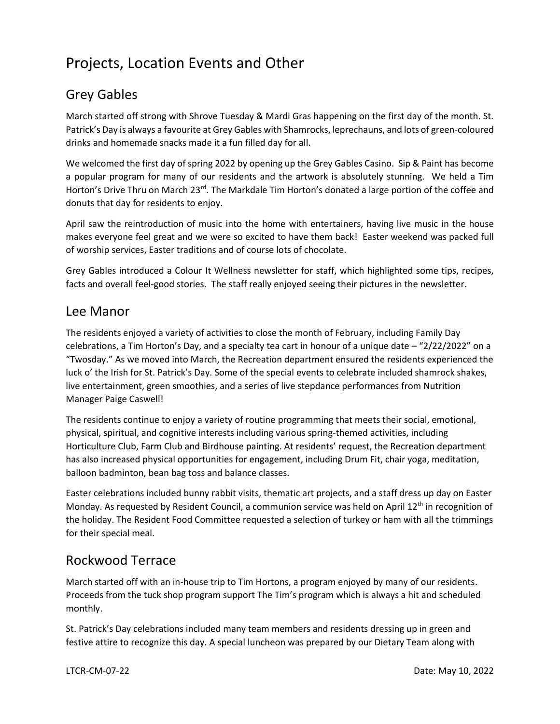# Projects, Location Events and Other

### Grey Gables

March started off strong with Shrove Tuesday & Mardi Gras happening on the first day of the month. St. Patrick's Day is always a favourite at Grey Gables with Shamrocks, leprechauns, and lots of green-coloured drinks and homemade snacks made it a fun filled day for all.

We welcomed the first day of spring 2022 by opening up the Grey Gables Casino. Sip & Paint has become a popular program for many of our residents and the artwork is absolutely stunning. We held a Tim Horton's Drive Thru on March 23<sup>rd</sup>. The Markdale Tim Horton's donated a large portion of the coffee and donuts that day for residents to enjoy.

April saw the reintroduction of music into the home with entertainers, having live music in the house makes everyone feel great and we were so excited to have them back! Easter weekend was packed full of worship services, Easter traditions and of course lots of chocolate.

Grey Gables introduced a Colour It Wellness newsletter for staff, which highlighted some tips, recipes, facts and overall feel-good stories. The staff really enjoyed seeing their pictures in the newsletter.

#### Lee Manor

The residents enjoyed a variety of activities to close the month of February, including Family Day celebrations, a Tim Horton's Day, and a specialty tea cart in honour of a unique date – "2/22/2022" on a "Twosday." As we moved into March, the Recreation department ensured the residents experienced the luck o' the Irish for St. Patrick's Day. Some of the special events to celebrate included shamrock shakes, live entertainment, green smoothies, and a series of live stepdance performances from Nutrition Manager Paige Caswell!

The residents continue to enjoy a variety of routine programming that meets their social, emotional, physical, spiritual, and cognitive interests including various spring-themed activities, including Horticulture Club, Farm Club and Birdhouse painting. At residents' request, the Recreation department has also increased physical opportunities for engagement, including Drum Fit, chair yoga, meditation, balloon badminton, bean bag toss and balance classes.

Easter celebrations included bunny rabbit visits, thematic art projects, and a staff dress up day on Easter Monday. As requested by Resident Council, a communion service was held on April 12<sup>th</sup> in recognition of the holiday. The Resident Food Committee requested a selection of turkey or ham with all the trimmings for their special meal.

#### Rockwood Terrace

March started off with an in-house trip to Tim Hortons, a program enjoyed by many of our residents. Proceeds from the tuck shop program support The Tim's program which is always a hit and scheduled monthly.

St. Patrick's Day celebrations included many team members and residents dressing up in green and festive attire to recognize this day. A special luncheon was prepared by our Dietary Team along with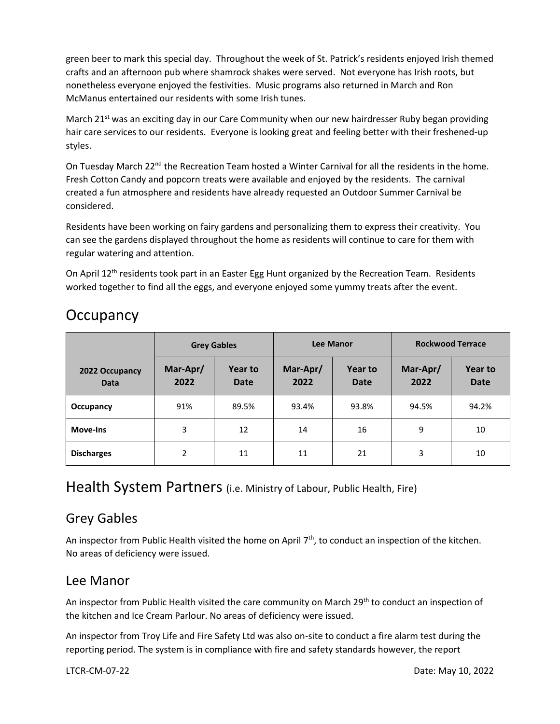green beer to mark this special day. Throughout the week of St. Patrick's residents enjoyed Irish themed crafts and an afternoon pub where shamrock shakes were served. Not everyone has Irish roots, but nonetheless everyone enjoyed the festivities. Music programs also returned in March and Ron McManus entertained our residents with some Irish tunes.

March 21<sup>st</sup> was an exciting day in our Care Community when our new hairdresser Ruby began providing hair care services to our residents. Everyone is looking great and feeling better with their freshened-up styles.

On Tuesday March 22<sup>nd</sup> the Recreation Team hosted a Winter Carnival for all the residents in the home. Fresh Cotton Candy and popcorn treats were available and enjoyed by the residents. The carnival created a fun atmosphere and residents have already requested an Outdoor Summer Carnival be considered.

Residents have been working on fairy gardens and personalizing them to express their creativity. You can see the gardens displayed throughout the home as residents will continue to care for them with regular watering and attention.

On April 12<sup>th</sup> residents took part in an Easter Egg Hunt organized by the Recreation Team. Residents worked together to find all the eggs, and everyone enjoyed some yummy treats after the event.

## **Occupancy**

|                               |                  | <b>Grey Gables</b>     |                  | <b>Lee Manor</b>       | <b>Rockwood Terrace</b> |                        |
|-------------------------------|------------------|------------------------|------------------|------------------------|-------------------------|------------------------|
| 2022 Occupancy<br><b>Data</b> | Mar-Apr/<br>2022 | Year to<br><b>Date</b> | Mar-Apr/<br>2022 | Year to<br><b>Date</b> | Mar-Apr/<br>2022        | Year to<br><b>Date</b> |
| Occupancy                     | 91%              | 89.5%                  | 93.4%            | 93.8%                  | 94.5%                   | 94.2%                  |
| Move-Ins                      | 3                | 12                     | 14               | 16                     | 9                       | 10                     |
| <b>Discharges</b>             | 2                | 11                     | 11               | 21                     | 3                       | 10                     |

#### Health System Partners (i.e. Ministry of Labour, Public Health, Fire)

#### Grey Gables

An inspector from Public Health visited the home on April  $7<sup>th</sup>$ , to conduct an inspection of the kitchen. No areas of deficiency were issued.

#### Lee Manor

An inspector from Public Health visited the care community on March 29<sup>th</sup> to conduct an inspection of the kitchen and Ice Cream Parlour. No areas of deficiency were issued.

An inspector from Troy Life and Fire Safety Ltd was also on-site to conduct a fire alarm test during the reporting period. The system is in compliance with fire and safety standards however, the report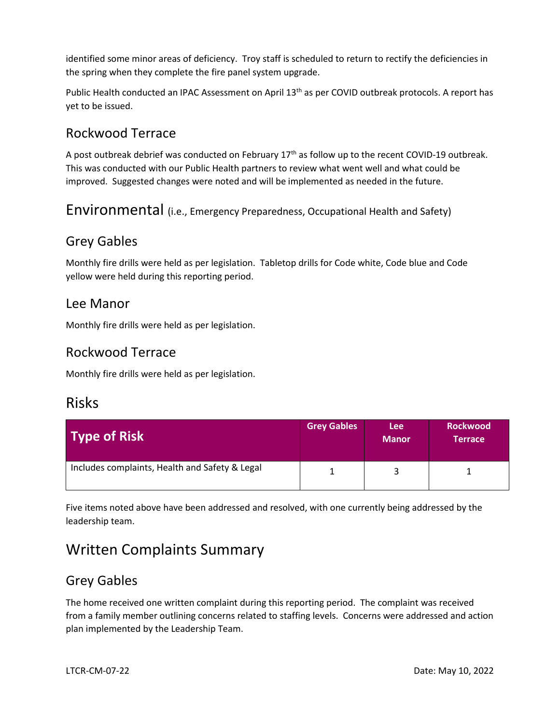identified some minor areas of deficiency. Troy staff is scheduled to return to rectify the deficiencies in the spring when they complete the fire panel system upgrade.

Public Health conducted an IPAC Assessment on April 13<sup>th</sup> as per COVID outbreak protocols. A report has yet to be issued.

#### Rockwood Terrace

A post outbreak debrief was conducted on February 17<sup>th</sup> as follow up to the recent COVID-19 outbreak. This was conducted with our Public Health partners to review what went well and what could be improved. Suggested changes were noted and will be implemented as needed in the future.

Environmental (i.e., Emergency Preparedness, Occupational Health and Safety)

#### Grey Gables

Monthly fire drills were held as per legislation. Tabletop drills for Code white, Code blue and Code yellow were held during this reporting period.

#### Lee Manor

Monthly fire drills were held as per legislation.

#### Rockwood Terrace

Monthly fire drills were held as per legislation.

#### Risks

| Type of Risk                                   | <b>Grey Gables</b> | <b>Lee</b><br><b>Manor</b> | <b>Rockwood</b><br>Terrace |
|------------------------------------------------|--------------------|----------------------------|----------------------------|
| Includes complaints, Health and Safety & Legal |                    |                            |                            |

Five items noted above have been addressed and resolved, with one currently being addressed by the leadership team.

# Written Complaints Summary

#### Grey Gables

The home received one written complaint during this reporting period. The complaint was received from a family member outlining concerns related to staffing levels. Concerns were addressed and action plan implemented by the Leadership Team.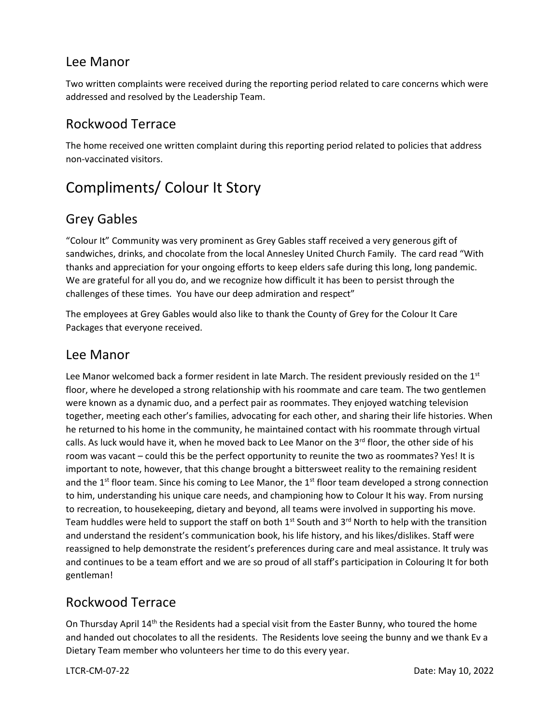#### Lee Manor

Two written complaints were received during the reporting period related to care concerns which were addressed and resolved by the Leadership Team.

#### Rockwood Terrace

The home received one written complaint during this reporting period related to policies that address non-vaccinated visitors.

# Compliments/ Colour It Story

#### Grey Gables

"Colour It" Community was very prominent as Grey Gables staff received a very generous gift of sandwiches, drinks, and chocolate from the local Annesley United Church Family. The card read "With thanks and appreciation for your ongoing efforts to keep elders safe during this long, long pandemic. We are grateful for all you do, and we recognize how difficult it has been to persist through the challenges of these times. You have our deep admiration and respect"

The employees at Grey Gables would also like to thank the County of Grey for the Colour It Care Packages that everyone received.

#### Lee Manor

Lee Manor welcomed back a former resident in late March. The resident previously resided on the 1st floor, where he developed a strong relationship with his roommate and care team. The two gentlemen were known as a dynamic duo, and a perfect pair as roommates. They enjoyed watching television together, meeting each other's families, advocating for each other, and sharing their life histories. When he returned to his home in the community, he maintained contact with his roommate through virtual calls. As luck would have it, when he moved back to Lee Manor on the 3<sup>rd</sup> floor, the other side of his room was vacant – could this be the perfect opportunity to reunite the two as roommates? Yes! It is important to note, however, that this change brought a bittersweet reality to the remaining resident and the  $1<sup>st</sup>$  floor team. Since his coming to Lee Manor, the  $1<sup>st</sup>$  floor team developed a strong connection to him, understanding his unique care needs, and championing how to Colour It his way. From nursing to recreation, to housekeeping, dietary and beyond, all teams were involved in supporting his move. Team huddles were held to support the staff on both  $1<sup>st</sup>$  South and  $3<sup>rd</sup>$  North to help with the transition and understand the resident's communication book, his life history, and his likes/dislikes. Staff were reassigned to help demonstrate the resident's preferences during care and meal assistance. It truly was and continues to be a team effort and we are so proud of all staff's participation in Colouring It for both gentleman!

#### Rockwood Terrace

On Thursday April 14<sup>th</sup> the Residents had a special visit from the Easter Bunny, who toured the home and handed out chocolates to all the residents. The Residents love seeing the bunny and we thank Ev a Dietary Team member who volunteers her time to do this every year.